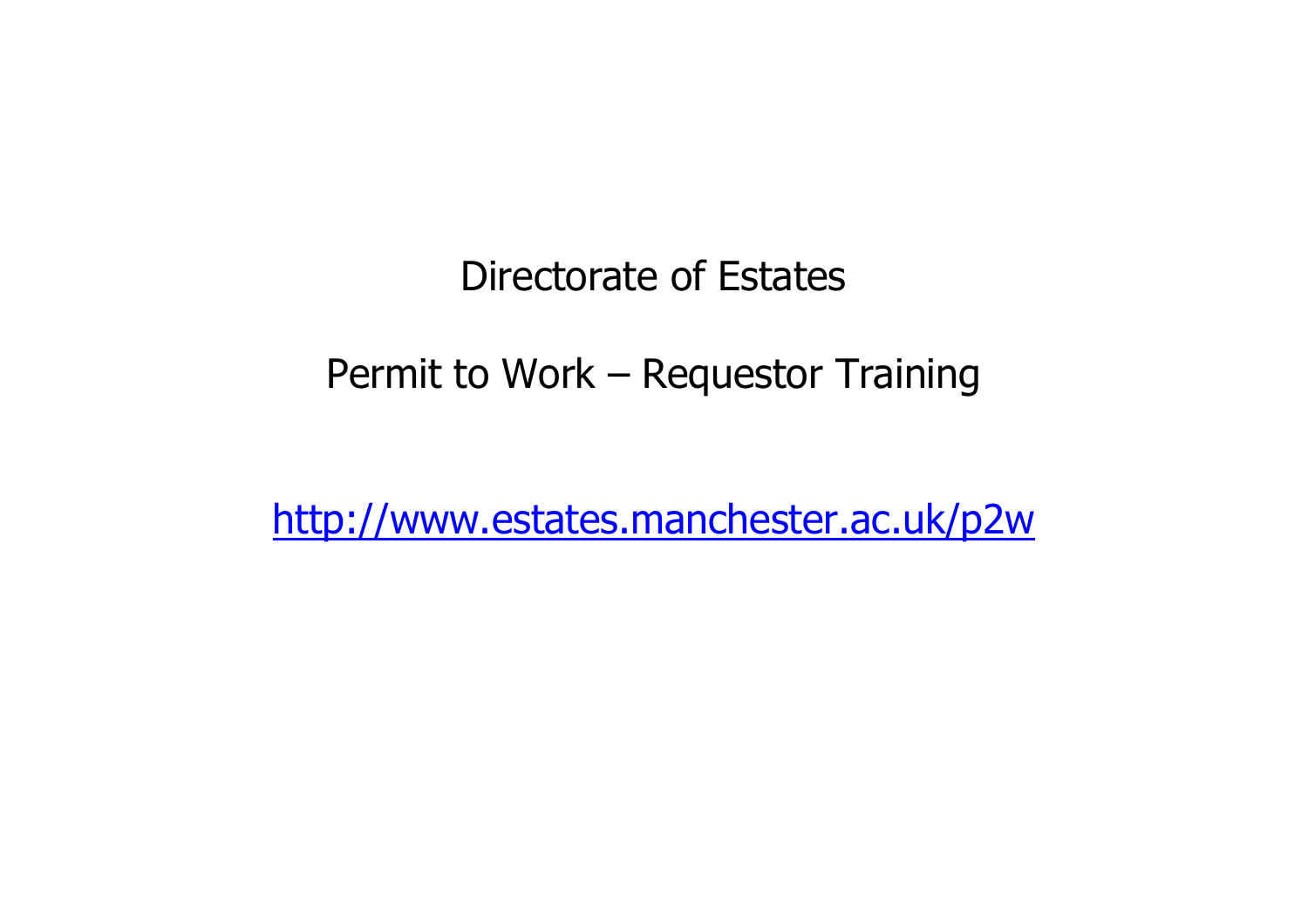## Directorate of Estates

# Permit to Work – Requestor Training

http://www.estates.manchester.ac.uk/p2w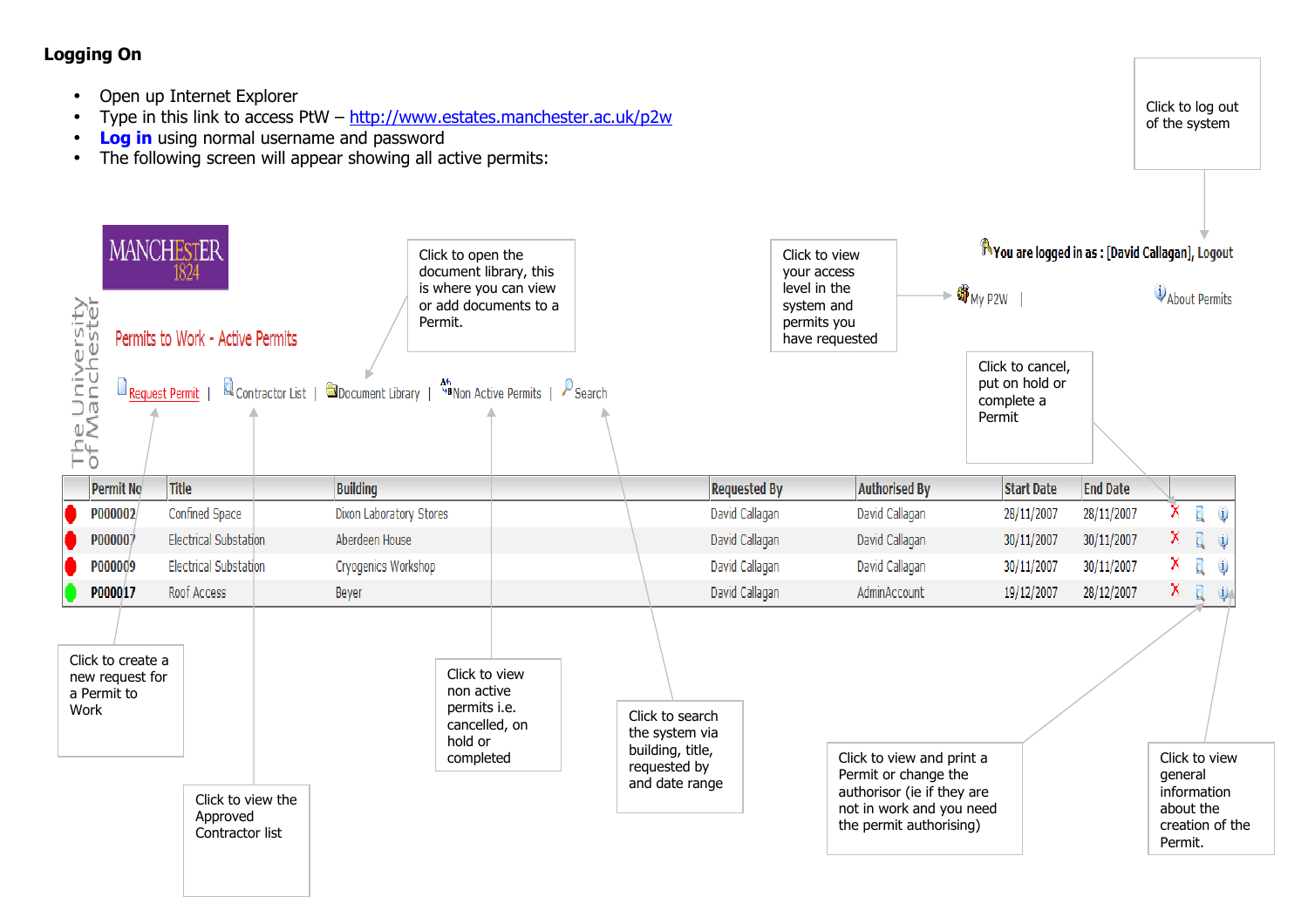### Logging On

- •Open up Internet Explorer
- •Type in this link to access PtW – http://www.estates.manchester.ac.uk/p2w
- •Log in using normal username and password
- •The following screen will appear showing all active permits:



Click to log out of the system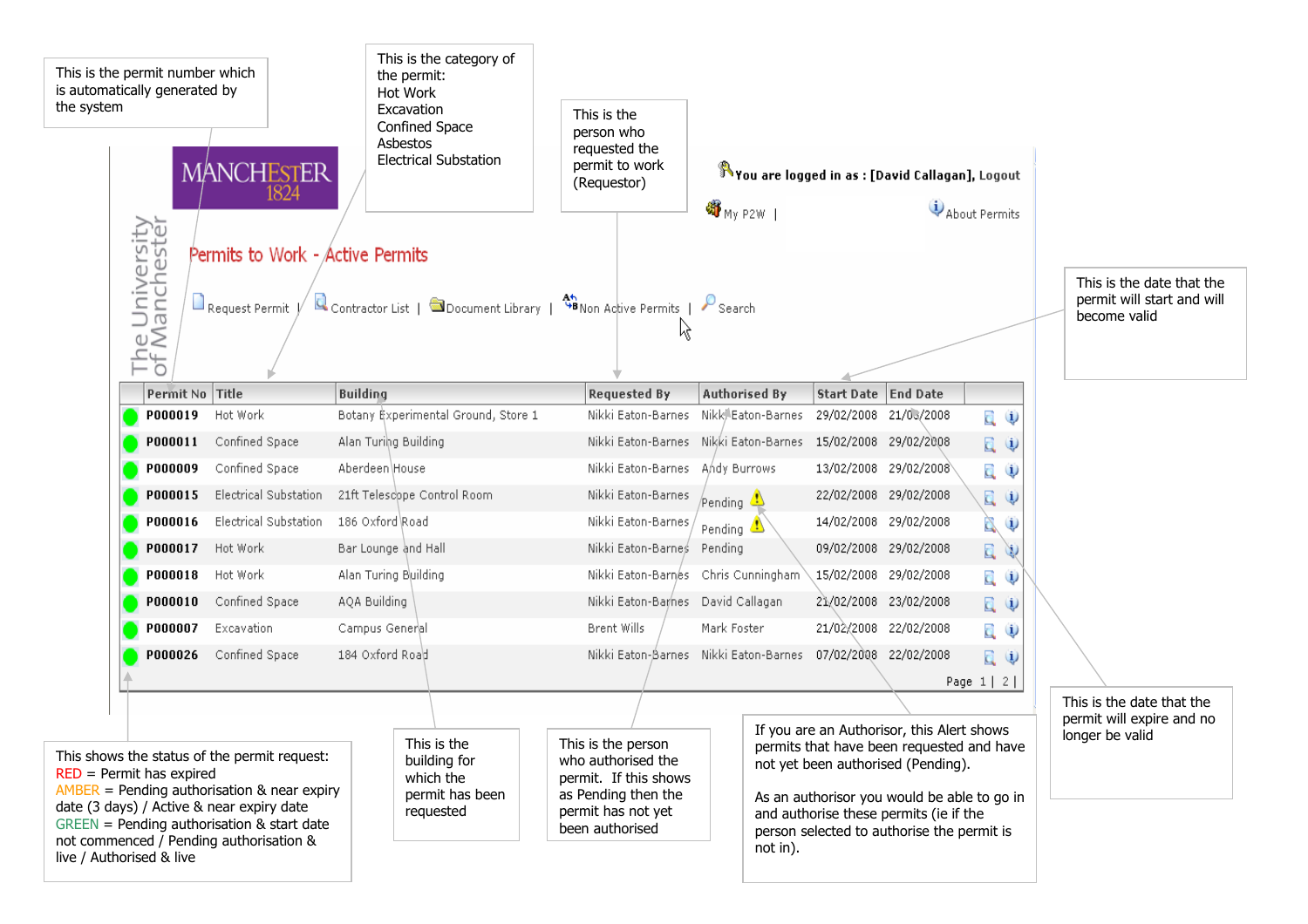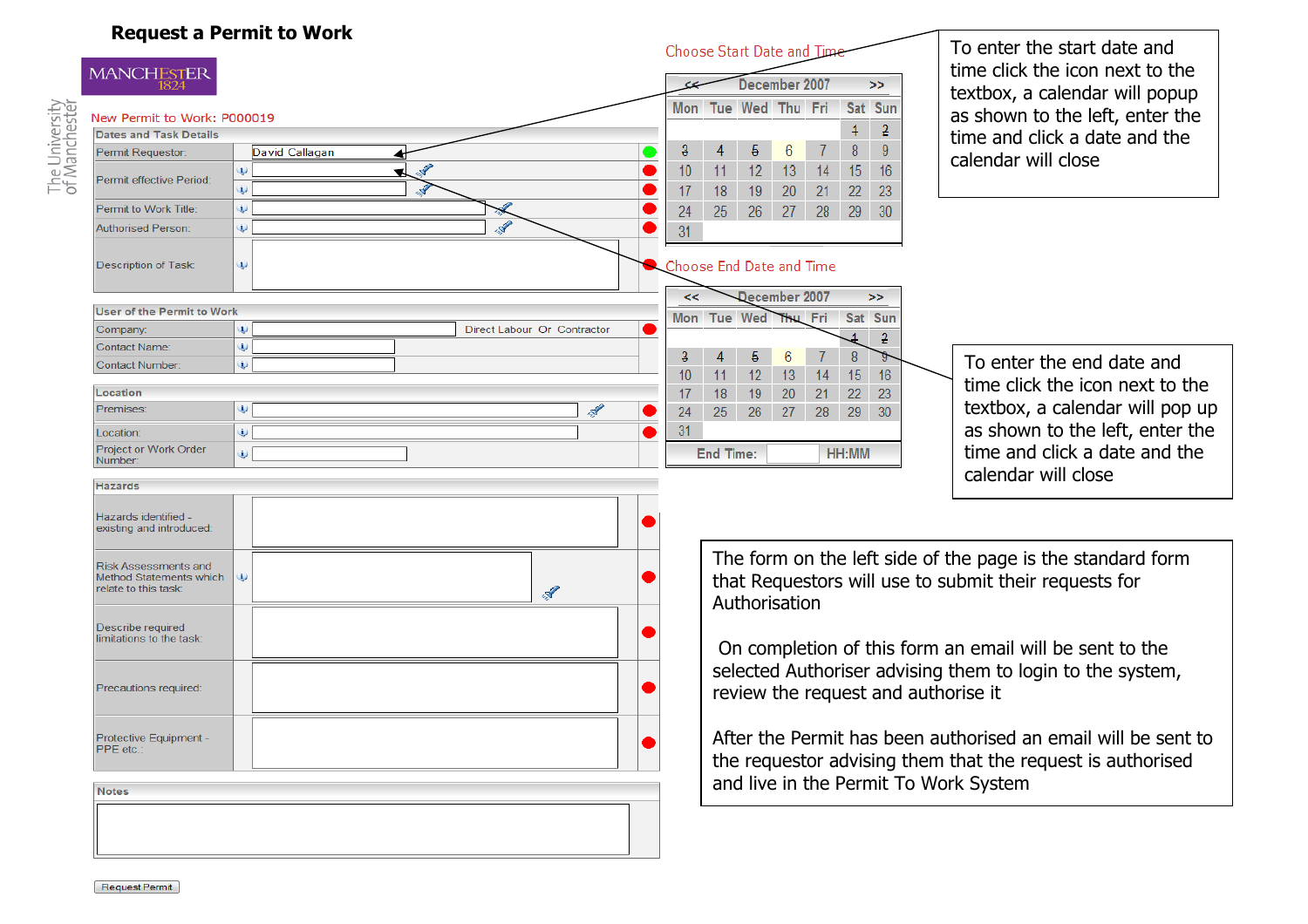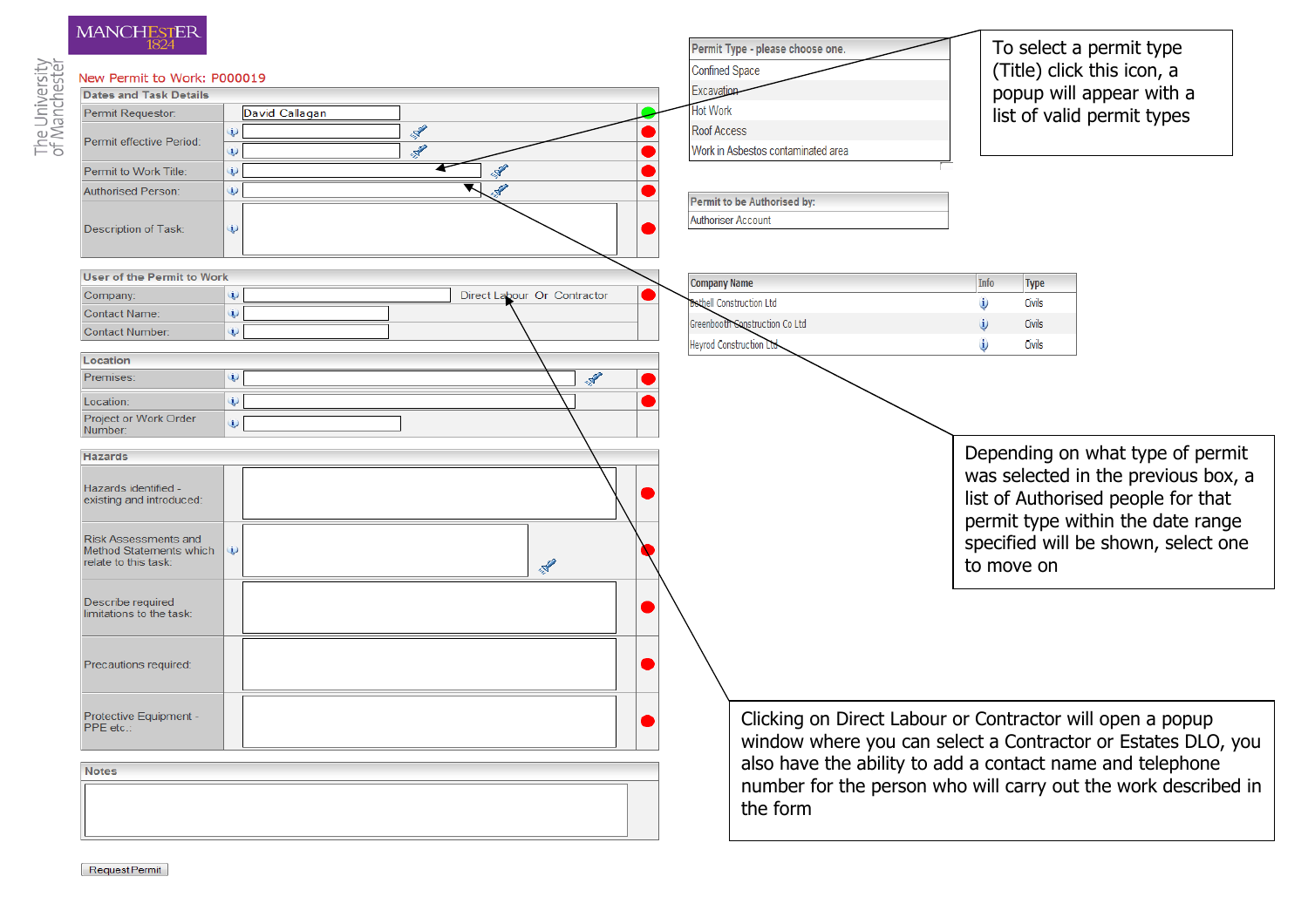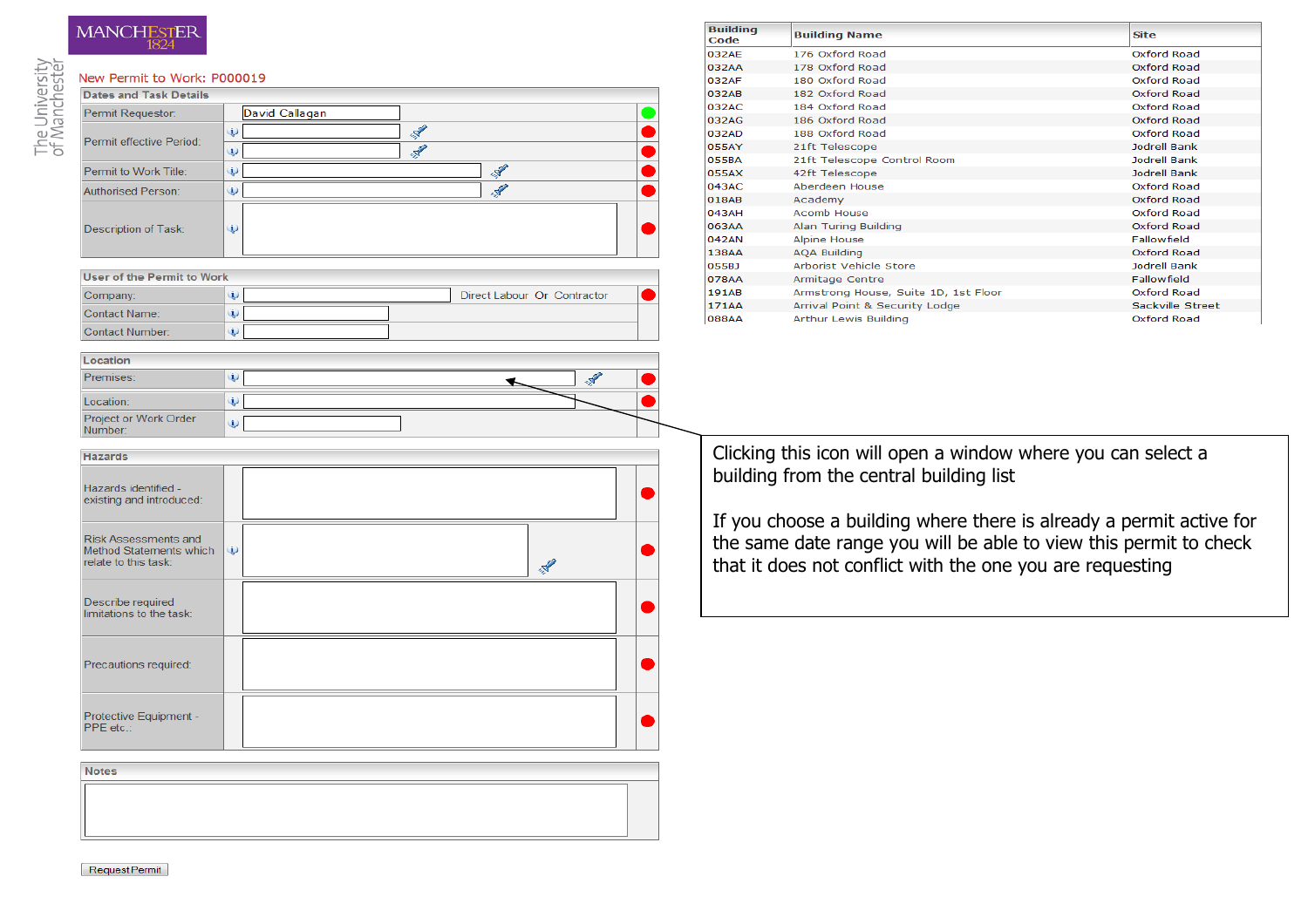## **MANCHESTER**

#### The University<br>of Manchester New Permit to Work: P000019 **Dates and Task Details** Permit Requestor: David Callagan  $\mathscr{R}$  $\dot{\textbf{u}}$ Permit effective Period:  $\overline{\mathcal{A}}$  $\ddot{\mathbf{u}}$  $\mathcal{L}$ Permit to Work Title:  $\omega$  $\overline{\mathscr{L}}$ Authorised Person:  $\ddot{\mathbf{u}}$ Description of Task:  $\ddot{\mathbf{u}}$ User of the Permit to Work  $\omega$ Direct Labour Or Contractor Company Contact Name:  $\dot{\mathbf{U}}$ Contact Number:  $\ddot{\mathbf{u}}$

| Location                         |   |
|----------------------------------|---|
| Premises:                        |   |
| Location:                        |   |
| Project or Work Order<br>Number: | Ψ |

| Code         | <b>Bullaing Name</b>                 | ыш                 |
|--------------|--------------------------------------|--------------------|
| 032AE        | 176 Oxford Road                      | Oxford Road        |
| 032AA        | 178 Oxford Road                      | Oxford Road        |
| 032AF        | 180 Oxford Road                      | Oxford Road        |
| 032AB        | 182 Oxford Road                      | Oxford Road        |
| 032AC        | 184 Oxford Road                      | Oxford Road        |
| 032AG        | 186 Oxford Road                      | Oxford Road        |
| 032AD        | 188 Oxford Road                      | Oxford Road        |
| 055AY        | 21ft Telescope                       | Jodrell Bank       |
| <b>055BA</b> | 21ft Telescope Control Room          | Jodrell Bank       |
| 055AX        | 42ft Telescope                       | Jodrell Bank       |
| 043AC        | Aberdeen House                       | Oxford Road        |
| 018AB        | Academy                              | Oxford Road        |
| 043AH        | <b>Acomb House</b>                   | Oxford Road        |
| 063AA        | Alan Turing Building                 | Oxford Road        |
| 042AN        | <b>Alpine House</b>                  | <b>Fallowfield</b> |
| 138AA        | <b>AQA Building</b>                  | Oxford Road        |
| 055BJ        | <b>Arborist Vehicle Store</b>        | Jodrell Bank       |
| 078AA        | Armitage Centre                      | <b>Fallowfield</b> |
| 191AB        | Armstrong House, Suite 1D, 1st Floor | Oxford Road        |
| 171AA        | Arrival Point & Security Lodge       | Sackville Street   |
| <b>088AA</b> | Arthur Lewis Building                | Oxford Road        |

**Building** 

 $\bullet$ 

●

◚

Clicking this icon will open a window where you can select a building from the central building list

If you choose a building where there is already a permit active for the same date range you will be able to view this permit to check that it does not conflict with the one you are requesting

| <b>Hazards</b>                                                                 |          |               |  |
|--------------------------------------------------------------------------------|----------|---------------|--|
| Hazards identified -<br>existing and introduced:                               |          |               |  |
| <b>Risk Assessments and</b><br>Method Statements which<br>relate to this task: | $\omega$ | $\mathcal{A}$ |  |
| Describe required<br>limitations to the task:                                  |          |               |  |
| Precautions required:                                                          |          |               |  |
| Protective Equipment -<br>PPE etc.:                                            |          |               |  |

**Notes**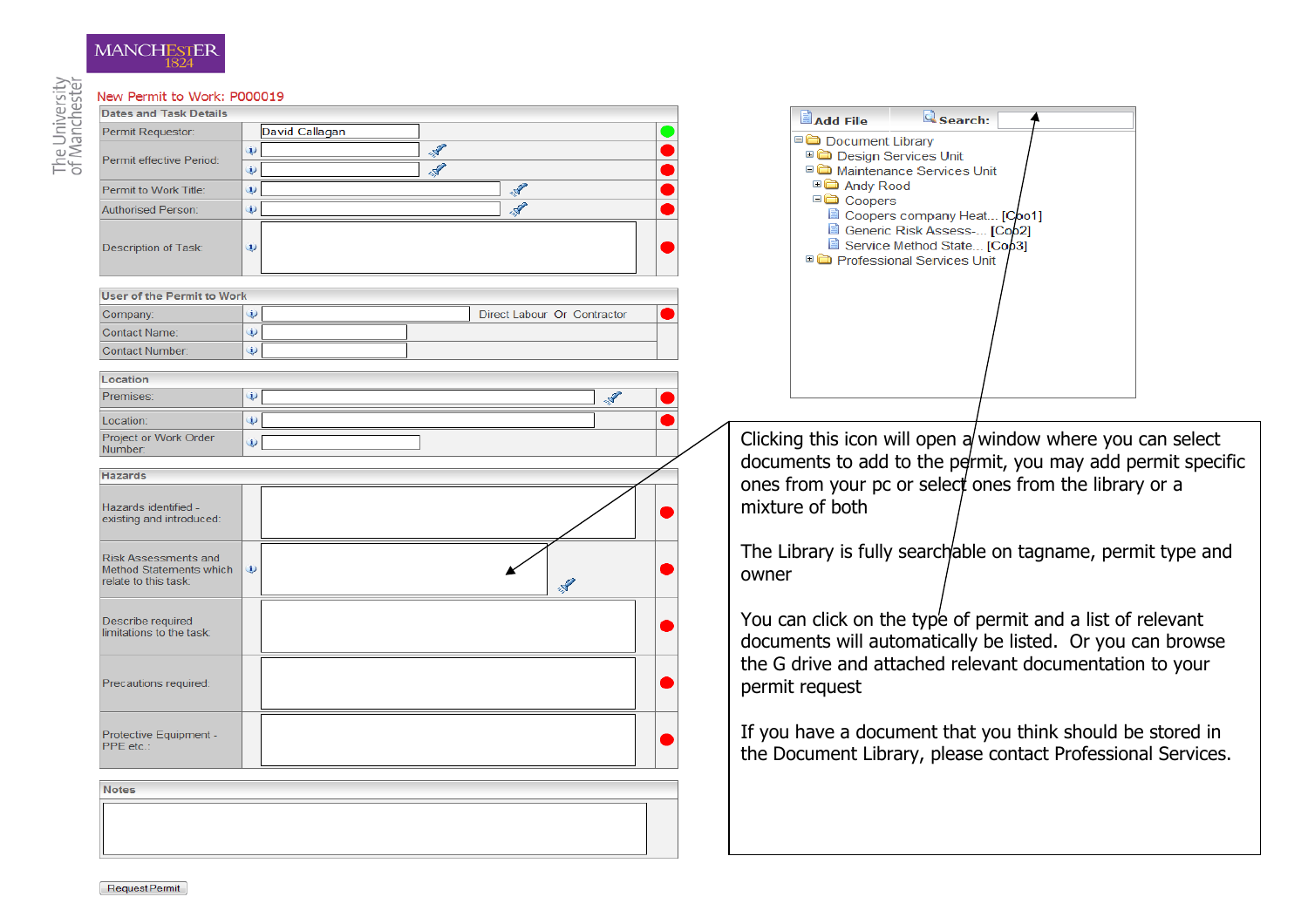| New Permit to Work: P000019                                             |                     |               |                             |       |                                                                                                                          |  |
|-------------------------------------------------------------------------|---------------------|---------------|-----------------------------|-------|--------------------------------------------------------------------------------------------------------------------------|--|
| <b>Dates and Task Details</b>                                           |                     |               |                             |       | <b>Q</b> search:<br><b>Add File</b>                                                                                      |  |
| Permit Requestor:                                                       | David Callagan      |               |                             |       | Document Library                                                                                                         |  |
|                                                                         | $\ddot{\mathbf{u}}$ | $\mathcal{F}$ |                             |       | <b>□□</b> Design Services Unit                                                                                           |  |
| Permit effective Period:                                                | $\ddot{\mathbf{u}}$ | Ý             |                             |       | □ Maintenance Services Unit                                                                                              |  |
| Permit to Work Title:                                                   | $\mathbf{U}$        |               |                             |       | □□ Andy Rood                                                                                                             |  |
| <b>Authorised Person:</b>                                               | $\mathbf{u}$        | <b>ANY</b>    |                             |       | □□ Coopers<br>Coopers company Heat [Coo1]                                                                                |  |
| <b>Description of Task:</b>                                             | $\mathbf{i}$        |               |                             |       | Generic Risk Assess- [Coo2]<br>Service Method State [Coo3]<br>□ Professional Services Unit                               |  |
| <b>User of the Permit to Work</b>                                       |                     |               |                             |       |                                                                                                                          |  |
| Company:                                                                | i)                  |               | Direct Labour Or Contractor |       |                                                                                                                          |  |
| <b>Contact Name:</b>                                                    | $\ddot{\mathbf{v}}$ |               |                             |       |                                                                                                                          |  |
| <b>Contact Number:</b>                                                  | $\ddot{\mathbf{v}}$ |               |                             |       |                                                                                                                          |  |
|                                                                         |                     |               |                             |       |                                                                                                                          |  |
| Location                                                                |                     |               |                             |       |                                                                                                                          |  |
| Premises:                                                               | i)                  |               | 2                           |       |                                                                                                                          |  |
| Location:                                                               | $\ddot{\psi}$       |               |                             |       |                                                                                                                          |  |
| Project or Work Order<br>Number:                                        | $\mathbf{i}$        |               |                             |       | Clicking this icon will open a window where you can select                                                               |  |
|                                                                         |                     |               |                             |       | documents to add to the permit, you may add permit specific                                                              |  |
| <b>Hazards</b>                                                          |                     |               |                             |       | ones from your pc or select ones from the library or a                                                                   |  |
| Hazards identified -<br>existing and introduced:                        |                     |               |                             |       | mixture of both                                                                                                          |  |
| Risk Assessments and<br>Method Statements which<br>relate to this task: |                     |               | $\mathbf{r}$                | owner | The Library is fully searchable on tagname, permit type and                                                              |  |
| Describe required<br>limitations to the task:                           |                     |               |                             |       | You can click on the type of permit and a list of relevant<br>documents will automatically be listed. Or you can browse  |  |
| Precautions required:                                                   |                     |               |                             |       | the G drive and attached relevant documentation to your<br>permit request                                                |  |
| Protective Equipment -<br>PPE etc.:                                     |                     |               |                             |       | If you have a document that you think should be stored in<br>the Document Library, please contact Professional Services. |  |
| <b>Notes</b>                                                            |                     |               |                             |       |                                                                                                                          |  |
|                                                                         |                     |               |                             |       |                                                                                                                          |  |
|                                                                         |                     |               |                             |       |                                                                                                                          |  |
|                                                                         |                     |               |                             |       |                                                                                                                          |  |

# The University<br>of Manchester

MANCHESTER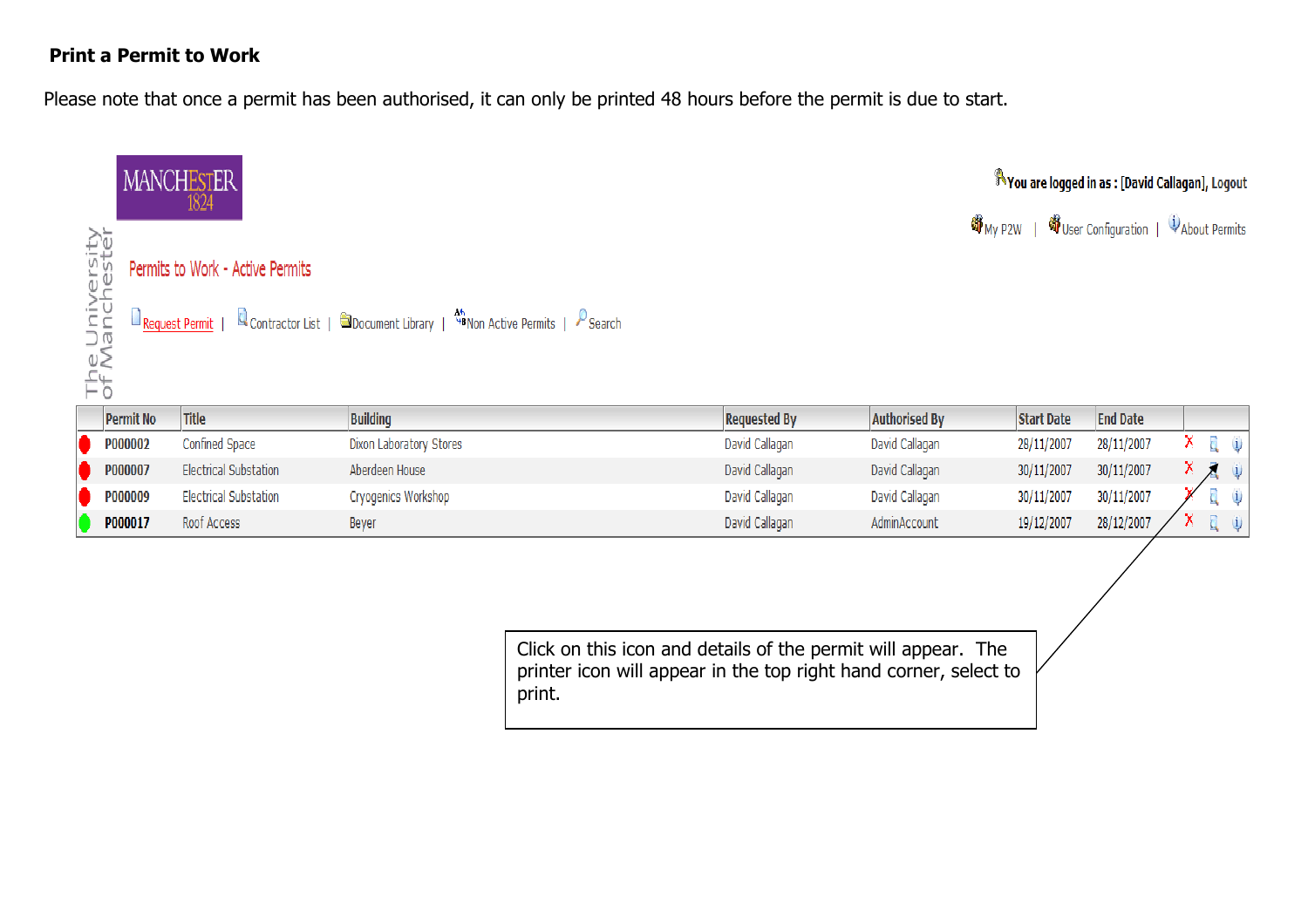#### Print a Permit to Work

Please note that once a permit has been authorised, it can only be printed 48 hours before the permit is due to start.



Click on this icon and details of the permit will appear. The printer icon will appear in the top right hand corner, select to print.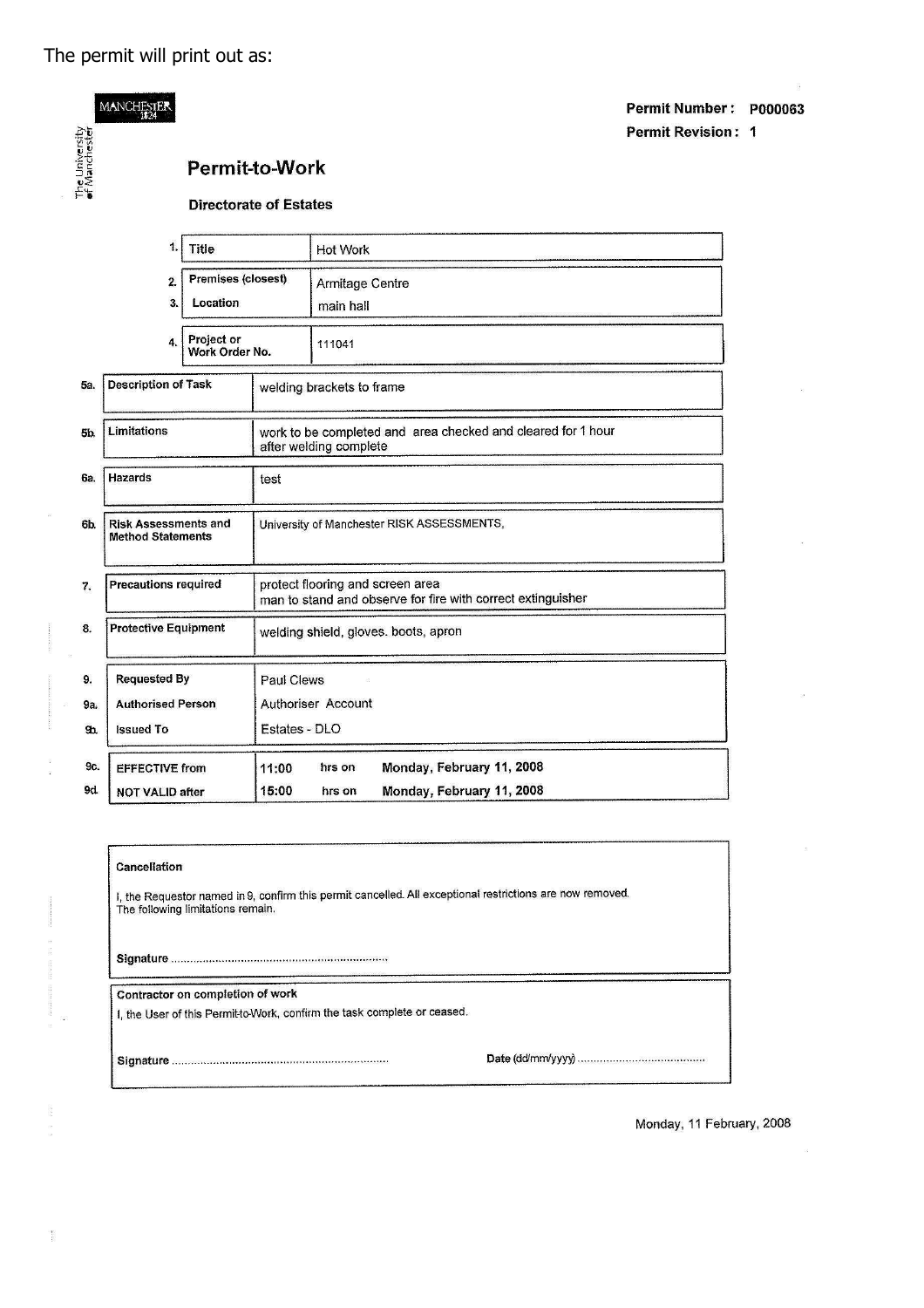MANCHESTER

The University<br>of Manchester

|                       | Permit Number: P000063    |  |
|-----------------------|---------------------------|--|
|                       | <b>Permit Revision: 1</b> |  |
| <b>Permit-to-Work</b> |                           |  |

#### **Directorate of Estates**

| 1.<br><b>Title</b>                                            |                                                                        |  | <b>Hot Work</b>                            |                                                              |                                                                                                 |  |  |  |
|---------------------------------------------------------------|------------------------------------------------------------------------|--|--------------------------------------------|--------------------------------------------------------------|-------------------------------------------------------------------------------------------------|--|--|--|
| <b>Premises (closest)</b><br>$\overline{2}$<br>Location<br>3. |                                                                        |  | Armitage Centre<br>main hall               |                                                              |                                                                                                 |  |  |  |
| Project or<br>4.<br>Work Order No.                            |                                                                        |  |                                            | 111041                                                       |                                                                                                 |  |  |  |
| 5а.                                                           | <b>Description of Task</b>                                             |  |                                            | welding brackets to frame.                                   |                                                                                                 |  |  |  |
| 5b.                                                           | Limitations                                                            |  | after welding complete                     | work to be completed and area checked and cleared for 1 hour |                                                                                                 |  |  |  |
| Ga.                                                           | <b>Hazards</b><br>test                                                 |  |                                            |                                                              |                                                                                                 |  |  |  |
| 6b.                                                           | <b>Risk Assessments and</b><br><b>Method Statements</b>                |  | University of Manchester RISK ASSESSMENTS, |                                                              |                                                                                                 |  |  |  |
| 7.                                                            | <b>Precautions required</b>                                            |  |                                            |                                                              | protect flooring and screen area<br>man to stand and observe for fire with correct extinguisher |  |  |  |
| 8.                                                            | <b>Protective Equipment</b>                                            |  |                                            | welding shield, gloves. boots, apron                         |                                                                                                 |  |  |  |
| 9.                                                            | <b>Requested By</b>                                                    |  | Paul Clews                                 |                                                              |                                                                                                 |  |  |  |
| 9а.                                                           | <b>Authorised Person</b>                                               |  |                                            | <b>Authoriser Account</b>                                    |                                                                                                 |  |  |  |
| $g_h$                                                         | <b>Issued To</b>                                                       |  | Estates - DLO                              |                                                              |                                                                                                 |  |  |  |
| 9c.                                                           | <b>EFFECTIVE from</b>                                                  |  | 11:00                                      | hrs on                                                       | Monday, February 11, 2008                                                                       |  |  |  |
| 9d                                                            | Monday, February 11, 2008<br>15:00<br><b>NOT VALID after</b><br>hrs on |  |                                            |                                                              |                                                                                                 |  |  |  |

#### Cancellation

I, the Requestor named in 9, confirm this permit cancelled. All exceptional restrictions are now removed.<br>The following limitations remain.

Contractor on completion of work

I, the User of this Permit to Work, confirm the task complete or ceased.

 $\frac{1}{2}$ 

Monday, 11 February, 2008

i.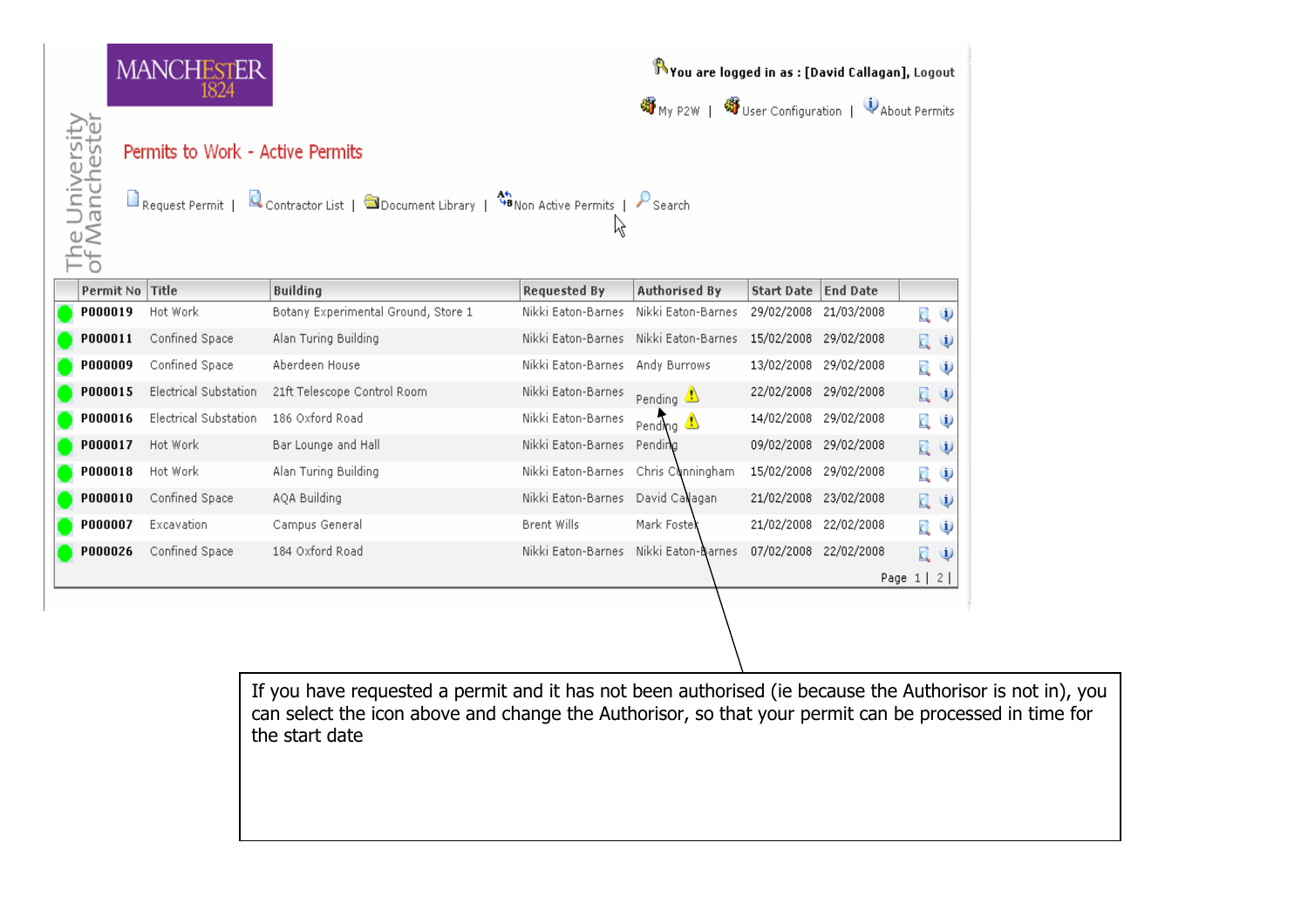|                                  |                | <b>MANCHESTER</b><br>1824                          |                                                                                                    |                     | You are logged in as : [David Callagan], Logout<br>将 My P2W   图 User Configuration   U About Permits |                   |                 |                      |               |
|----------------------------------|----------------|----------------------------------------------------|----------------------------------------------------------------------------------------------------|---------------------|------------------------------------------------------------------------------------------------------|-------------------|-----------------|----------------------|---------------|
| e University<br>Manchester<br>잡극 |                | Permits to Work - Active Permits<br>Request Permit | Contractor List   $\bigcirc$ Document Library   $\bigcirc$ BNon Active Permits   $\bigcirc$ Search | Ķ                   |                                                                                                      |                   |                 |                      |               |
|                                  | Permit No      | <b>Title</b>                                       | <b>Building</b>                                                                                    | <b>Requested By</b> | <b>Authorised By</b>                                                                                 | <b>Start Date</b> | <b>End Date</b> |                      |               |
|                                  | P000019        | Hot Work                                           | Botany Experimental Ground, Store 1                                                                | Nikki Eaton-Barnes  | Nikki Eaton-Barnes                                                                                   | 29/02/2008        | 21/03/2008      | d.                   | $\mathbf{u}$  |
|                                  | P000011        | Confined Space                                     | Alan Turing Building                                                                               | Nikki Eaton-Barnes  | Nikki Eaton-Barnes                                                                                   | 15/02/2008        | 29/02/2008      | 員申                   |               |
|                                  | <b>P000009</b> | Confined Space                                     | Aberdeen House                                                                                     | Nikki Eaton-Barnes  | Andy Burrows                                                                                         | 13/02/2008        | 29/02/2008      | q,                   | $\mathbf{1}$  |
|                                  | P000015        | <b>Electrical Substation</b>                       | 21ft Telescope Control Room                                                                        | Nikki Eaton-Barnes  | Pending $\bigcirc$                                                                                   | 22/02/2008        | 29/02/2008      | 員申                   |               |
|                                  | P000016        | <b>Electrical Substation</b>                       | 186 Oxford Road                                                                                    | Nikki Eaton-Barnes  | Pending $\triangle$                                                                                  | 14/02/2008        | 29/02/2008      | d.                   | $\mathbf{u}$  |
|                                  | P000017        | Hot Work                                           | Bar Lounge and Hall                                                                                | Nikki Eaton-Barnes  | Pending                                                                                              | 09/02/2008        | 29/02/2008      | 員り                   |               |
|                                  | P000018        | Hot Work                                           | Alan Turing Building                                                                               | Nikki Eaton-Barnes  | Chris Cunningham                                                                                     | 15/02/2008        | 29/02/2008      | d,                   | $\mathbf{u}$  |
|                                  | P000010        | Confined Space                                     | AQA Building                                                                                       | Nikki Eaton-Barnes  | David Callagan                                                                                       | 21/02/2008        | 23/02/2008      | 員り                   |               |
|                                  | <b>P000007</b> | Excavation                                         | Campus General                                                                                     | Brent Wills         | Mark Foster                                                                                          | 21/02/2008        | 22/02/2008      | d,                   | $\mathbf{u}$  |
|                                  | P000026        | Confined Space                                     | 184 Oxford Road                                                                                    | Nikki Eaton-Barnes  | Nikki Eaton-Barnes                                                                                   | 07/02/2008        | 22/02/2008      | d.                   | $\ddot{\psi}$ |
|                                  |                |                                                    |                                                                                                    |                     |                                                                                                      |                   |                 | Page $1 \mid 2 \mid$ |               |
|                                  |                |                                                    |                                                                                                    |                     |                                                                                                      |                   |                 |                      |               |

If you have requested a permit and it has not been authorised (ie because the Authorisor is not in), you can select the icon above and change the Authorisor, so that your permit can be processed in time for the start date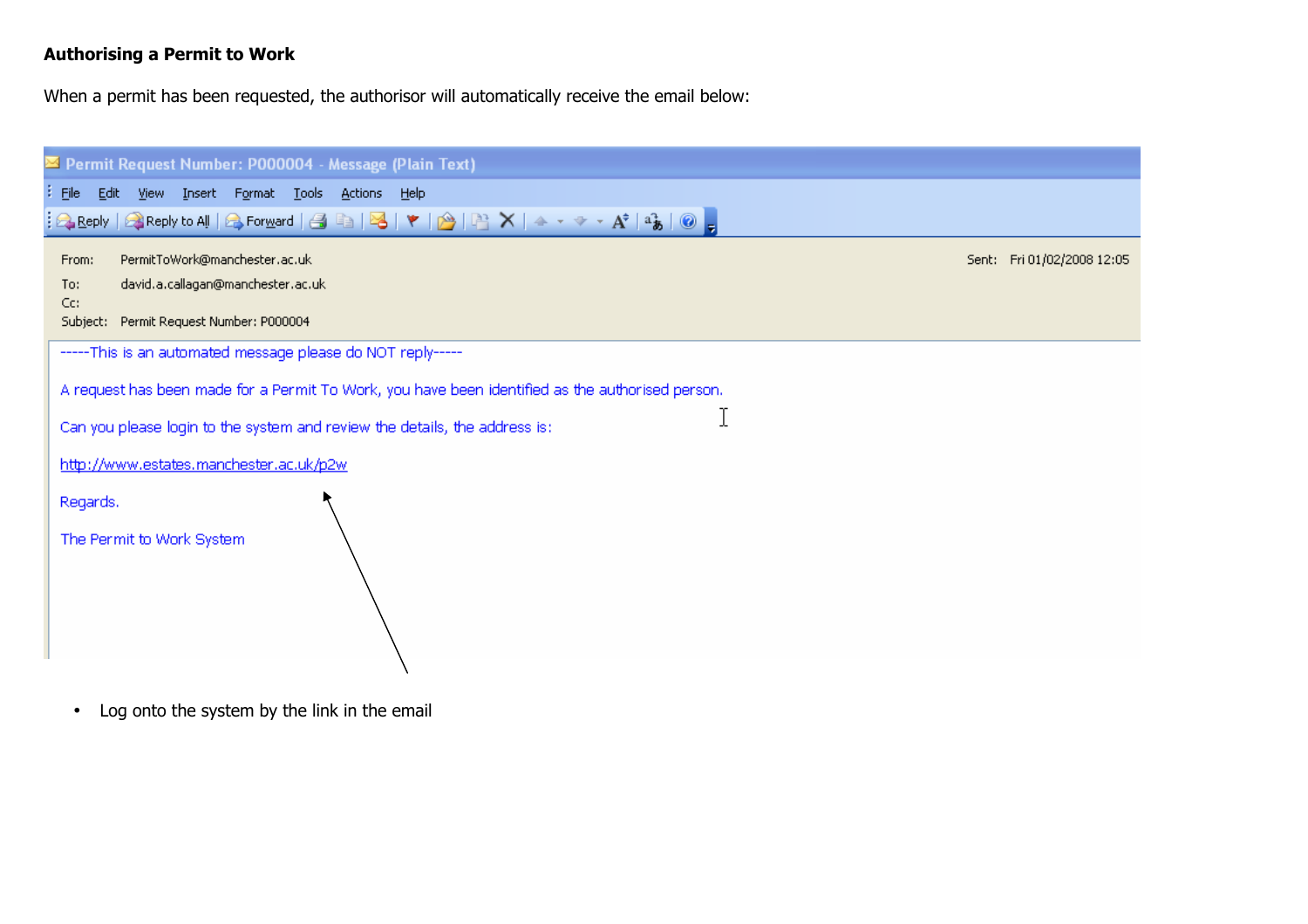#### Authorising a Permit to Work

When a permit has been requested, the authorisor will automatically receive the email below:

| ⊠ Permit Request Number: P000004 - Message (Plain Text)                                                                                                             |                            |
|---------------------------------------------------------------------------------------------------------------------------------------------------------------------|----------------------------|
| File Edit<br>View Insert Format Tools Actions Help                                                                                                                  |                            |
| $\frac{1}{2}$ Reply   Q Reply to All   Q Forward   G   B   B   Y   A   B   X   A $\rightarrow$ $\rightarrow$ $\rightarrow$ A $^{\dagger}$   $^{\circ}$   $_{\odot}$ |                            |
| PermitToWork@manchester.ac.uk<br>From:                                                                                                                              | Sent: Fri 01/02/2008 12:05 |
| david.a.callagan@manchester.ac.uk                                                                                                                                   |                            |
| Subject: Permit Request Number: P000004                                                                                                                             |                            |
| -----This is an automated message please do NOT reply-----                                                                                                          |                            |
| A request has been made for a Permit To Work, you have been identified as the authorised person.                                                                    |                            |
| Can you please login to the system and review the details, the address is:                                                                                          |                            |
| http://www.estates.manchester.ac.uk/p2w                                                                                                                             |                            |
| Regards.                                                                                                                                                            |                            |
| The Permit to Work System                                                                                                                                           |                            |
|                                                                                                                                                                     |                            |
|                                                                                                                                                                     |                            |
|                                                                                                                                                                     |                            |

• Log onto the system by the link in the email